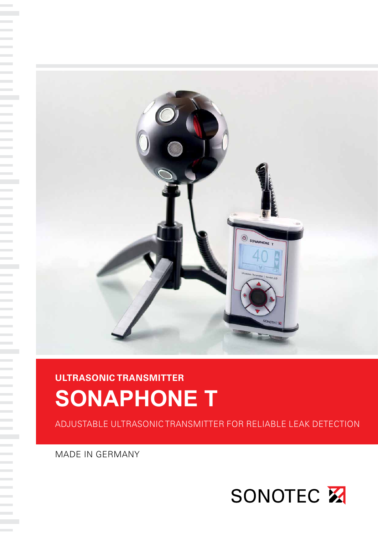

# **ULTRASONIC TRANSMITTER SONAPHONE T**

ADJUSTABLE ULTRASONIC TRANSMITTER FOR RELIABLE LEAK DETECTION

MADE IN GERMANY